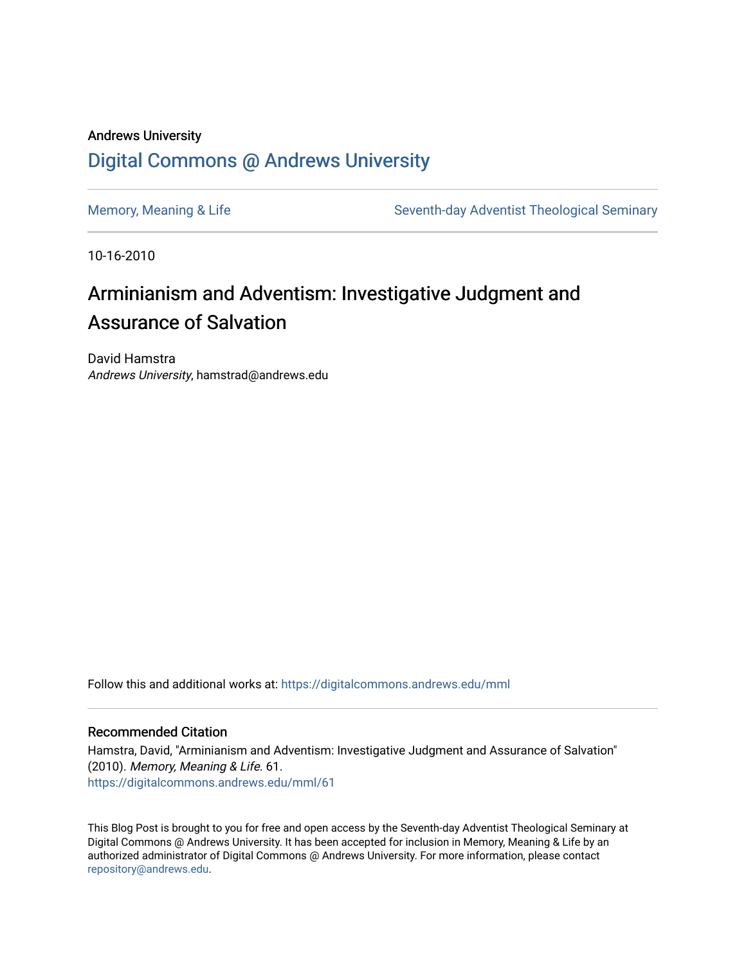## Andrews University [Digital Commons @ Andrews University](https://digitalcommons.andrews.edu/)

[Memory, Meaning & Life](https://digitalcommons.andrews.edu/mml) Seventh-day Adventist Theological Seminary

10-16-2010

## Arminianism and Adventism: Investigative Judgment and Assurance of Salvation

David Hamstra Andrews University, hamstrad@andrews.edu

Follow this and additional works at: [https://digitalcommons.andrews.edu/mml](https://digitalcommons.andrews.edu/mml?utm_source=digitalcommons.andrews.edu%2Fmml%2F61&utm_medium=PDF&utm_campaign=PDFCoverPages) 

#### Recommended Citation

Hamstra, David, "Arminianism and Adventism: Investigative Judgment and Assurance of Salvation" (2010). Memory, Meaning & Life. 61. [https://digitalcommons.andrews.edu/mml/61](https://digitalcommons.andrews.edu/mml/61?utm_source=digitalcommons.andrews.edu%2Fmml%2F61&utm_medium=PDF&utm_campaign=PDFCoverPages)

This Blog Post is brought to you for free and open access by the Seventh-day Adventist Theological Seminary at Digital Commons @ Andrews University. It has been accepted for inclusion in Memory, Meaning & Life by an authorized administrator of Digital Commons @ Andrews University. For more information, please contact [repository@andrews.edu](mailto:repository@andrews.edu).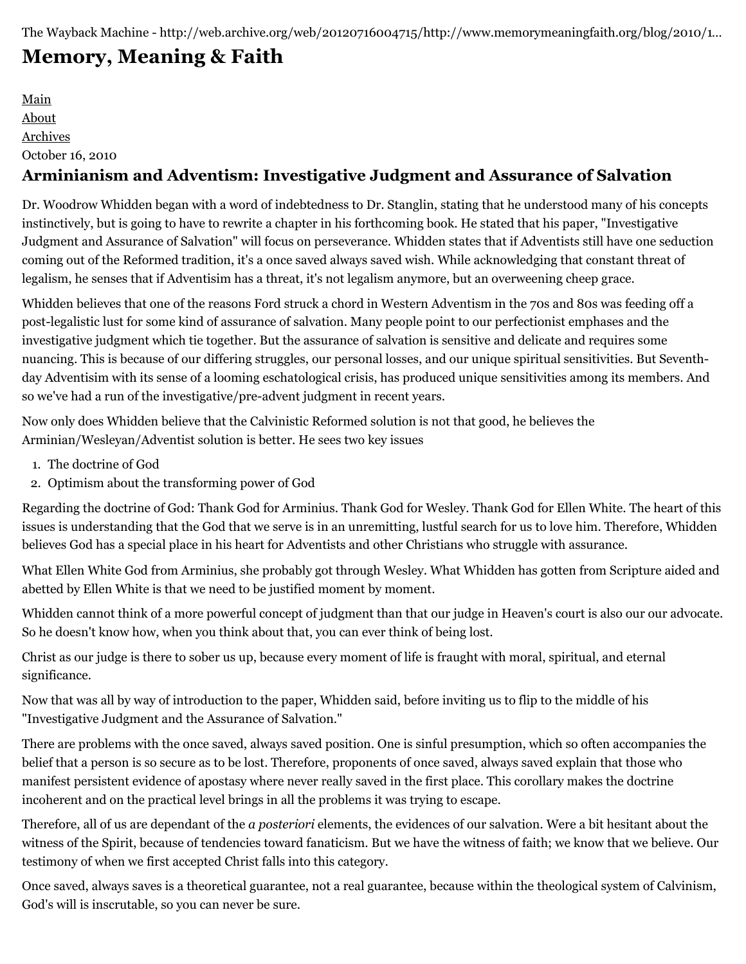# **[Memory, Meaning & Faith](http://web.archive.org/web/20120716004715/http://www.memorymeaningfaith.org/blog/)**

[Main](http://web.archive.org/web/20120716004715/http://www.memorymeaningfaith.org/blog) [About](http://web.archive.org/web/20120716004715/http://www.memorymeaningfaith.org/blog/about.html) [Archives](http://web.archive.org/web/20120716004715/http://www.memorymeaningfaith.org/blog/archives.html) October 16, 2010

## **Arminianism and Adventism: Investigative Judgment and Assurance of Salvation**

Dr. Woodrow Whidden began with a word of indebtedness to Dr. Stanglin, stating that he understood many of his concepts instinctively, but is going to have to rewrite a chapter in his forthcoming book. He stated that his paper, "Investigative Judgment and Assurance of Salvation" will focus on perseverance. Whidden states that if Adventists still have one seduction coming out of the Reformed tradition, it's a once saved always saved wish. While acknowledging that constant threat of legalism, he senses that if Adventisim has a threat, it's not legalism anymore, but an overweening cheep grace.

Whidden believes that one of the reasons Ford struck a chord in Western Adventism in the 70s and 80s was feeding off a post-legalistic lust for some kind of assurance of salvation. Many people point to our perfectionist emphases and the investigative judgment which tie together. But the assurance of salvation is sensitive and delicate and requires some nuancing. This is because of our differing struggles, our personal losses, and our unique spiritual sensitivities. But Seventhday Adventisim with its sense of a looming eschatological crisis, has produced unique sensitivities among its members. And so we've had a run of the investigative/pre-advent judgment in recent years.

Now only does Whidden believe that the Calvinistic Reformed solution is not that good, he believes the Arminian/Wesleyan/Adventist solution is better. He sees two key issues

- 1. The doctrine of God
- 2. Optimism about the transforming power of God

Regarding the doctrine of God: Thank God for Arminius. Thank God for Wesley. Thank God for Ellen White. The heart of this issues is understanding that the God that we serve is in an unremitting, lustful search for us to love him. Therefore, Whidden believes God has a special place in his heart for Adventists and other Christians who struggle with assurance.

What Ellen White God from Arminius, she probably got through Wesley. What Whidden has gotten from Scripture aided and abetted by Ellen White is that we need to be justified moment by moment.

Whidden cannot think of a more powerful concept of judgment than that our judge in Heaven's court is also our our advocate. So he doesn't know how, when you think about that, you can ever think of being lost.

Christ as our judge is there to sober us up, because every moment of life is fraught with moral, spiritual, and eternal significance.

Now that was all by way of introduction to the paper, Whidden said, before inviting us to flip to the middle of his "Investigative Judgment and the Assurance of Salvation."

There are problems with the once saved, always saved position. One is sinful presumption, which so often accompanies the belief that a person is so secure as to be lost. Therefore, proponents of once saved, always saved explain that those who manifest persistent evidence of apostasy where never really saved in the first place. This corollary makes the doctrine incoherent and on the practical level brings in all the problems it was trying to escape.

Therefore, all of us are dependant of the *a posteriori* elements, the evidences of our salvation. Were a bit hesitant about the witness of the Spirit, because of tendencies toward fanaticism. But we have the witness of faith; we know that we believe. Our testimony of when we first accepted Christ falls into this category.

Once saved, always saves is a theoretical guarantee, not a real guarantee, because within the theological system of Calvinism, God's will is inscrutable, so you can never be sure.